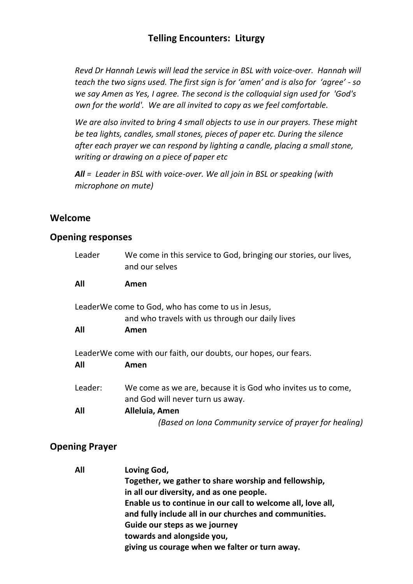*Revd Dr Hannah Lewis will lead the service in BSL with voice-over. Hannah will teach the two signs used. The first sign is for 'amen' and is also for 'agree' - so we say Amen as Yes, I agree. The second is the colloquial sign used for 'God's own for the world'. We are all invited to copy as we feel comfortable.* 

*We are also invited to bring 4 small objects to use in our prayers. These might be tea lights, candles, small stones, pieces of paper etc. During the silence after each prayer we can respond by lighting a candle, placing a small stone, writing or drawing on a piece of paper etc*

*All = Leader in BSL with voice-over. We all join in BSL or speaking (with microphone on mute)*

### **Welcome**

#### **Opening responses**

| Leader  | We come in this service to God, bringing our stories, our lives,<br>and our selves                    |
|---------|-------------------------------------------------------------------------------------------------------|
| All     | Amen                                                                                                  |
|         | LeaderWe come to God, who has come to us in Jesus,<br>and who travels with us through our daily lives |
| All     | Amen                                                                                                  |
| All     | LeaderWe come with our faith, our doubts, our hopes, our fears.<br>Amen                               |
| Leader: | We come as we are, because it is God who invites us to come,<br>and God will never turn us away.      |
| All     | Alleluia, Amen                                                                                        |
|         | (Based on Iona Community service of prayer for healing)                                               |

### **Opening Prayer**

| All | Loving God,                                                 |
|-----|-------------------------------------------------------------|
|     | Together, we gather to share worship and fellowship,        |
|     | in all our diversity, and as one people.                    |
|     | Enable us to continue in our call to welcome all, love all, |
|     | and fully include all in our churches and communities.      |
|     | Guide our steps as we journey                               |
|     | towards and alongside you,                                  |
|     | giving us courage when we falter or turn away.              |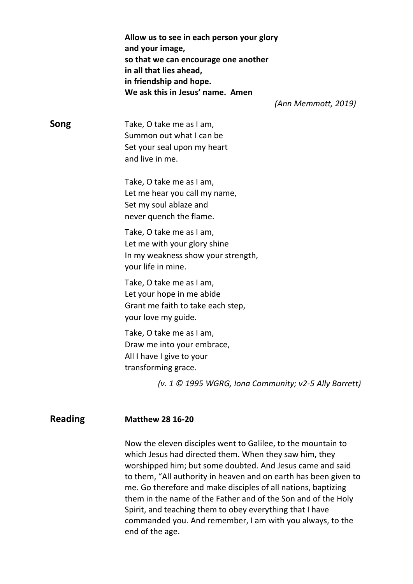|                | Allow us to see in each person your glory<br>and your image,<br>so that we can encourage one another<br>in all that lies ahead,<br>in friendship and hope.<br>We ask this in Jesus' name. Amen<br>(Ann Memmott, 2019) |
|----------------|-----------------------------------------------------------------------------------------------------------------------------------------------------------------------------------------------------------------------|
| Song           | Take, O take me as I am,<br>Summon out what I can be<br>Set your seal upon my heart<br>and live in me.                                                                                                                |
|                | Take, O take me as I am,<br>Let me hear you call my name,<br>Set my soul ablaze and<br>never quench the flame.                                                                                                        |
|                | Take, O take me as I am,<br>Let me with your glory shine<br>In my weakness show your strength,<br>your life in mine.                                                                                                  |
|                | Take, O take me as I am,<br>Let your hope in me abide<br>Grant me faith to take each step,<br>your love my guide.                                                                                                     |
|                | Take, O take me as I am,<br>Draw me into your embrace,<br>All I have I give to your<br>transforming grace.                                                                                                            |
|                | (v. 1 © 1995 WGRG, Iona Community; v2-5 Ally Barrett)                                                                                                                                                                 |
| <b>Reading</b> | <b>Matthew 28 16-20</b>                                                                                                                                                                                               |

Now the eleven disciples went to Galilee, to the mountain to which Jesus had directed them. When they saw him, they worshipped him; but some doubted. And Jesus came and said to them, "All authority in heaven and on earth has been given to me. Go therefore and make disciples of all nations, baptizing them in the name of the Father and of the Son and of the Holy Spirit, and teaching them to obey everything that I have commanded you. And remember, I am with you always, to the end of the age.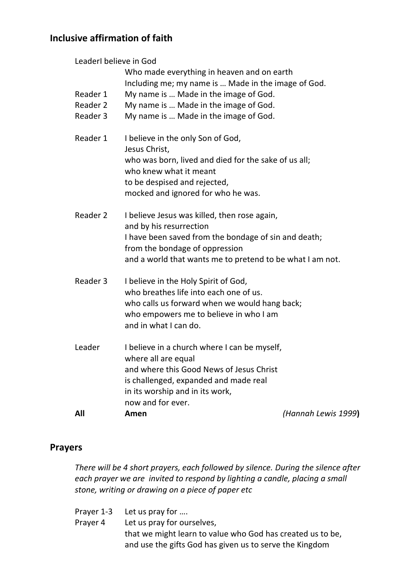# **Inclusive affirmation of faith**

| Leaderl believe in God           | Who made everything in heaven and on earth                                                                                                                                                                                     |                     |
|----------------------------------|--------------------------------------------------------------------------------------------------------------------------------------------------------------------------------------------------------------------------------|---------------------|
| Reader 1<br>Reader 2<br>Reader 3 | Including me; my name is  Made in the image of God.<br>My name is  Made in the image of God.<br>My name is  Made in the image of God.<br>My name is  Made in the image of God.                                                 |                     |
| Reader 1                         | I believe in the only Son of God,<br>Jesus Christ,<br>who was born, lived and died for the sake of us all;<br>who knew what it meant<br>to be despised and rejected,<br>mocked and ignored for who he was.                     |                     |
| Reader 2                         | I believe Jesus was killed, then rose again,<br>and by his resurrection<br>I have been saved from the bondage of sin and death;<br>from the bondage of oppression<br>and a world that wants me to pretend to be what I am not. |                     |
| Reader 3                         | I believe in the Holy Spirit of God,<br>who breathes life into each one of us.<br>who calls us forward when we would hang back;<br>who empowers me to believe in who I am<br>and in what I can do.                             |                     |
| Leader                           | I believe in a church where I can be myself,<br>where all are equal<br>and where this Good News of Jesus Christ<br>is challenged, expanded and made real<br>in its worship and in its work,<br>now and for ever.               |                     |
| All                              | Amen                                                                                                                                                                                                                           | (Hannah Lewis 1999) |

## **Prayers**

*There will be 4 short prayers, each followed by silence. During the silence after each prayer we are invited to respond by lighting a candle, placing a small stone, writing or drawing on a piece of paper etc*

|          | Prayer 1-3 Let us pray for                                 |
|----------|------------------------------------------------------------|
| Praver 4 | Let us pray for ourselves,                                 |
|          | that we might learn to value who God has created us to be, |
|          | and use the gifts God has given us to serve the Kingdom    |